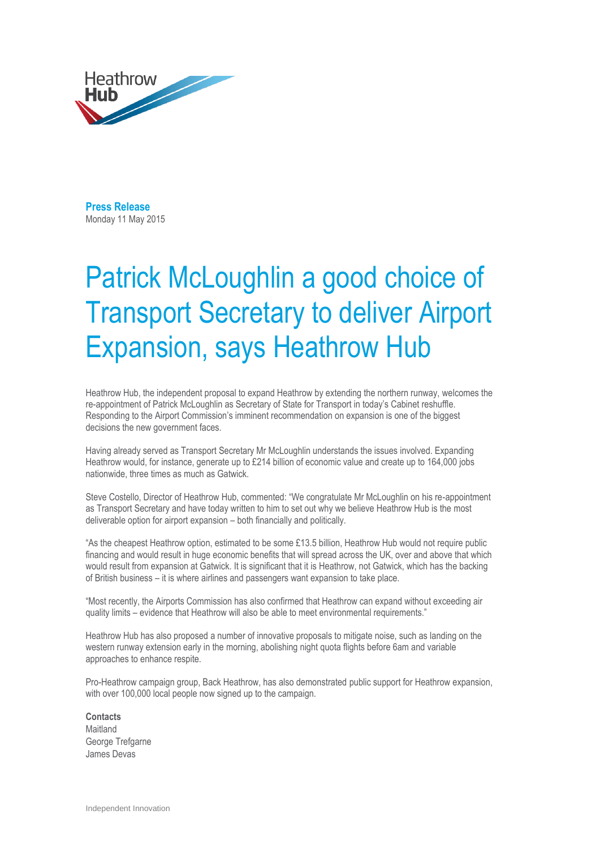

**Press Release**  Monday 11 May 2015

## Patrick McLoughlin a good choice of Transport Secretary to deliver Airport Expansion, says Heathrow Hub

Heathrow Hub, the independent proposal to expand Heathrow by extending the northern runway, welcomes the re-appointment of Patrick McLoughlin as Secretary of State for Transport in today's Cabinet reshuffle. Responding to the Airport Commission's imminent recommendation on expansion is one of the biggest decisions the new government faces.

Having already served as Transport Secretary Mr McLoughlin understands the issues involved. Expanding Heathrow would, for instance, generate up to £214 billion of economic value and create up to 164,000 jobs nationwide, three times as much as Gatwick.

Steve Costello, Director of Heathrow Hub, commented: "We congratulate Mr McLoughlin on his re-appointment as Transport Secretary and have today written to him to set out why we believe Heathrow Hub is the most deliverable option for airport expansion – both financially and politically.

"As the cheapest Heathrow option, estimated to be some £13.5 billion, Heathrow Hub would not require public financing and would result in huge economic benefits that will spread across the UK, over and above that which would result from expansion at Gatwick. It is significant that it is Heathrow, not Gatwick, which has the backing of British business – it is where airlines and passengers want expansion to take place.

"Most recently, the Airports Commission has also confirmed that Heathrow can expand without exceeding air quality limits – evidence that Heathrow will also be able to meet environmental requirements."

Heathrow Hub has also proposed a number of innovative proposals to mitigate noise, such as landing on the western runway extension early in the morning, abolishing night quota flights before 6am and variable approaches to enhance respite.

Pro-Heathrow campaign group, Back Heathrow, has also demonstrated public support for Heathrow expansion, with over 100,000 local people now signed up to the campaign.

**Contacts Maitland** George Trefgarne James Devas

Independent Innovation